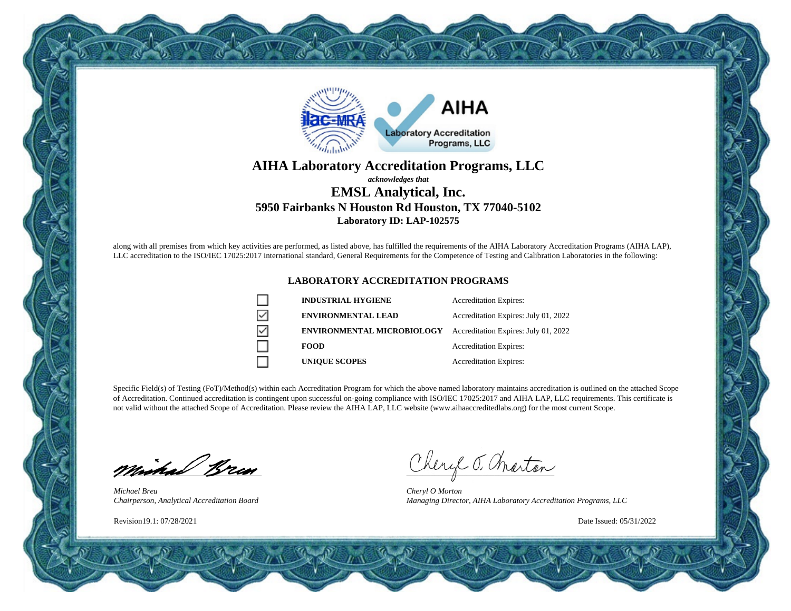

#### **AIHA Laboratory Accreditation Programs, LLC** *acknowledges that* **EMSL Analytical, Inc. 5950 Fairbanks N Houston Rd Houston, TX 77040-5102 Laboratory ID: LAP-102575**

along with all premises from which key activities are performed, as listed above, has fulfilled the requirements of the AIHA Laboratory Accreditation Programs (AIHA LAP), LLC accreditation to the ISO/IEC 17025:2017 international standard, General Requirements for the Competence of Testing and Calibration Laboratories in the following:

#### **LABORATORY ACCREDITATION PROGRAMS**

|   | <b>INDUSTRIAL HYGIENE</b>         | <b>Accreditation Expires:</b>        |
|---|-----------------------------------|--------------------------------------|
| ☑ | <b>ENVIRONMENTAL LEAD</b>         | Accreditation Expires: July 01, 2022 |
| ☑ | <b>ENVIRONMENTAL MICROBIOLOGY</b> | Accreditation Expires: July 01, 2022 |
|   | <b>FOOD</b>                       | <b>Accreditation Expires:</b>        |
|   | <b>UNIQUE SCOPES</b>              | <b>Accreditation Expires:</b>        |

Specific Field(s) of Testing (FoT)/Method(s) within each Accreditation Program for which the above named laboratory maintains accreditation is outlined on the attached Scope of Accreditation. Continued accreditation is contingent upon successful on-going compliance with ISO/IEC 17025:2017 and AIHA LAP, LLC requirements. This certificate is not valid without the attached Scope of Accreditation. Please review the AIHA LAP, LLC website (www.aihaaccreditedlabs.org) for the most current Scope.

minical Bran

*Michael Breu Chairperson, Analytical Accreditation Board*

Revision19.1: 07/28/2021

Cheryl J. Charton

*Cheryl O Morton Managing Director, AIHA Laboratory Accreditation Programs, LLC*

Date Issued: 05/31/2022